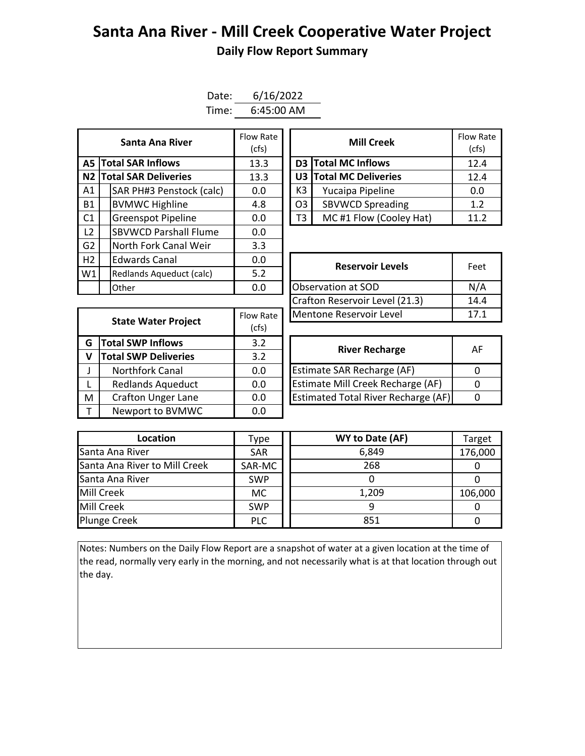## **Santa Ana River - Mill Creek Cooperative Water Project Daily Flow Report Summary**

| Date: | 6/16/2022    |
|-------|--------------|
| Time: | $6:45:00$ AM |

| Santa Ana River                  |  | Flow Rate<br>(cfs)           |     |                    | <b>Mill Creek</b>             |                         |      |  |
|----------------------------------|--|------------------------------|-----|--------------------|-------------------------------|-------------------------|------|--|
| <b>Total SAR Inflows</b><br>A5 I |  | 13.3                         |     |                    | D3 Total MC Inflows           | 12.4                    |      |  |
| N2 Total SAR Deliveries          |  | 13.3                         |     |                    | <b>U3 Total MC Deliveries</b> | 12.4                    |      |  |
| A1                               |  | SAR PH#3 Penstock (calc)     | 0.0 |                    | K3                            | Yucaipa Pipeline        | 0.0  |  |
| <b>B1</b>                        |  | <b>BVMWC Highline</b>        | 4.8 |                    | O <sub>3</sub>                | <b>SBVWCD Spreading</b> | 1.2  |  |
| C1                               |  | <b>Greenspot Pipeline</b>    | 0.0 |                    | T3                            | MC#1 Flow (Cooley Hat)  | 11.2 |  |
| L2                               |  | <b>SBVWCD Parshall Flume</b> | 0.0 |                    |                               |                         |      |  |
| G <sub>2</sub>                   |  | North Fork Canal Weir        | 3.3 |                    |                               |                         |      |  |
| H <sub>2</sub>                   |  | <b>Edwards Canal</b>         | 0.0 |                    |                               | <b>Reservoir Levels</b> | Feet |  |
| W1                               |  | Redlands Aqueduct (calc)     | 5.2 |                    |                               |                         |      |  |
|                                  |  | Other                        | 0.0 | Observation at SOD |                               | N/A                     |      |  |

| Santa Ana River         | Flow Rate<br>(cfs) |                              | <b>Mill Creek</b>       | Flow Rate<br>(cfs) |
|-------------------------|--------------------|------------------------------|-------------------------|--------------------|
| <b>I SAR Inflows</b>    | 13.3               |                              | D3 Total MC Inflows     | 12.4               |
| <b>I SAR Deliveries</b> | 13.3               | U3 Total MC Deliveries       |                         | 12.4               |
| AR PH#3 Penstock (calc) | 0.0                | K3                           | Yucaipa Pipeline        | 0.0                |
| /MWC Highline           | 4.8                | O <sub>3</sub>               | <b>SBVWCD Spreading</b> | 1.2                |
| reenspot Pipeline       | 0.0                | MC#1 Flow (Cooley Hat)<br>T3 |                         | 11.2               |

| Edwards Canal<br>v.o       |           | <b>Reservoir Levels</b>        | Feet |
|----------------------------|-----------|--------------------------------|------|
| Redlands Aqueduct (calc)   | 5.2       |                                |      |
| 0.0<br>Other               |           | Observation at SOD             | N/A  |
|                            |           | Crafton Reservoir Level (21.3) | 14.4 |
|                            | Flow Rate | Mentone Reservoir Level        | 17.1 |
| <b>State Water Project</b> | (cfs)     |                                |      |

| <b>State Water Project</b> |                             | Flow Rate | Mentone Reservoir Level                    |              |  |  |  |
|----------------------------|-----------------------------|-----------|--------------------------------------------|--------------|--|--|--|
|                            |                             | (cfs)     |                                            |              |  |  |  |
| G                          | <b>Total SWP Inflows</b>    | 3.2       | <b>River Recharge</b>                      | $\mathsf{A}$ |  |  |  |
|                            | <b>Total SWP Deliveries</b> | 3.2       |                                            |              |  |  |  |
|                            | <b>Northfork Canal</b>      | 0.0       | Estimate SAR Recharge (AF)                 | $\Omega$     |  |  |  |
|                            | <b>Redlands Aqueduct</b>    | 0.0       | Estimate Mill Creek Recharge (AF)          | $\Omega$     |  |  |  |
| M                          | <b>Crafton Unger Lane</b>   | 0.0       | <b>Estimated Total River Recharge (AF)</b> | 0            |  |  |  |
|                            | Newport to BVMWC            | 0.0       |                                            |              |  |  |  |

| <b>River Recharge</b>                      | АF |
|--------------------------------------------|----|
| Estimate SAR Recharge (AF)                 |    |
| Estimate Mill Creek Recharge (AF)          |    |
| <b>Estimated Total River Recharge (AF)</b> |    |

| Location                      | <b>Type</b> | WY to Date (AF) | Target  |
|-------------------------------|-------------|-----------------|---------|
| Santa Ana River               | <b>SAR</b>  | 6,849           | 176,000 |
| Santa Ana River to Mill Creek | SAR-MC      | 268             |         |
| Santa Ana River               | <b>SWP</b>  |                 |         |
| Mill Creek                    | МC          | 1,209           | 106,000 |
| Mill Creek                    | <b>SWP</b>  |                 |         |
| <b>Plunge Creek</b>           | <b>PLC</b>  | 851             |         |

Notes: Numbers on the Daily Flow Report are a snapshot of water at a given location at the time of the read, normally very early in the morning, and not necessarily what is at that location through out the day.